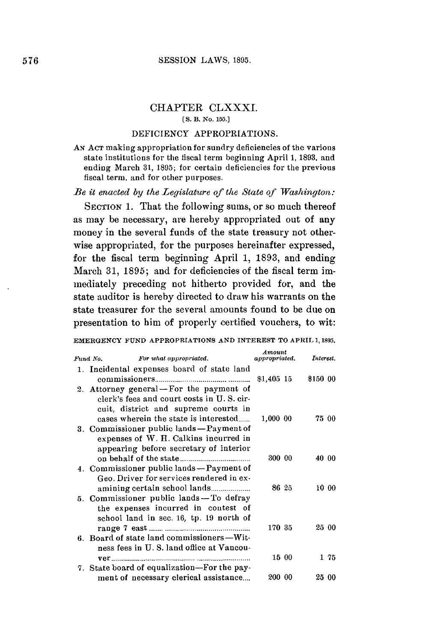## CHAPTER CLXXXI.

## **[S.** B. No. **15.]**

## **DEFICIENCY** APPROPRIATIONS.

**AN ACT** making appropriation for sundry deficiencies of the various state institutions for the fiscal term beginning April **1, 1893,** and ending March **31, 1895;** for certain deficiencies for the previous fiscal term, and for other purposes.

*Be it enacted by the Legislature of the State of IWashington:*

SECTION 1. That the following sums, or so much thereof as may be necessary, are hereby appropriated out of any money in the several funds of the state treasury not otherwise appropriated, for the purposes hereinafter expressed, for the fiscal term beginning April **1, 1893,** and ending March 31, 1895; and for deficiencies of the fiscal term immediately preceding not hitherto provided for, and the state auditor is hereby directed to draw his warrants on the state treasurer for the several amounts found to be due on presentation to him of properly certified vouchers, to wit:

EMERGENCY **FUND** APPROPRIATIONS **AND INTEREST** TO APRIL **1, 1895.**

| Fund No.<br>For what appropriated.                                                                                                                                     | Amount<br>appropriated. | Interest. |       |
|------------------------------------------------------------------------------------------------------------------------------------------------------------------------|-------------------------|-----------|-------|
| 1. Incidental expenses board of state land                                                                                                                             | $$1,405$ 15             | \$150 00  |       |
| 2. Attorney general – For the payment of<br>clerk's fees and court costs in U.S. cir-<br>cuit, district and supreme courts in<br>cases wherein the state is interested | 1,000 00                |           | 75 00 |
| 3. Commissioner public lands - Payment of<br>expenses of W. H. Calkins incurred in<br>appearing before secretary of interior                                           |                         |           |       |
| 4. Commissioner public lands - Payment of<br>Geo. Driver for services rendered in ex-                                                                                  | 300 00                  |           | 40 00 |
| 5. Commissioner public lands - To defray<br>the expenses incurred in contest of<br>school land in sec. 16, tp. 19 north of                                             | 86 25                   |           | 10 00 |
| 6. Board of state land commissioners-Wit-<br>ness fees in U.S. land office at Vancou-                                                                                  | 170 35                  |           | 25 00 |
| ver                                                                                                                                                                    | 15 00                   |           | 175   |
| 7. State board of equalization—For the pay-<br>ment of necessary clerical assistance                                                                                   | 200 00                  |           | 25 00 |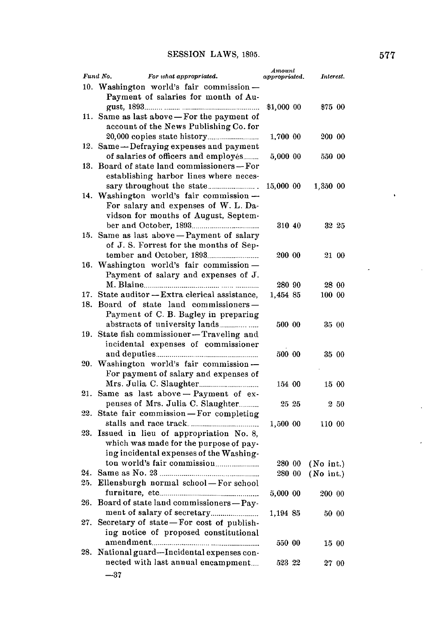|     | Fund No.<br>For what appropriated.         | Amount<br>appropriated. | Interest.       |
|-----|--------------------------------------------|-------------------------|-----------------|
|     | 10. Washington world's fair commission-    |                         |                 |
|     | Payment of salaries for month of Au-       |                         |                 |
|     |                                            | \$1,000 00              | \$75 00         |
| 11. | Same as last above - For the payment of    |                         |                 |
|     | account of the News Publishing Co. for     |                         |                 |
|     |                                            |                         |                 |
| 12. | Same-Defraying expenses and payment        | 1,700 00                | 200 00          |
|     | of salaries of officers and employés       |                         |                 |
| 13. | Board of state land commissioners-For      | 5,000 00                | 550 00          |
|     | establishing harbor lines where neces-     |                         |                 |
|     |                                            | 15,000 00               | 1,350 00        |
|     | 14. Washington world's fair commission-    |                         |                 |
|     | For salary and expenses of W. L. Da-       |                         |                 |
|     | vidson for months of August, Septem-       |                         |                 |
|     |                                            | 310 40                  | 32 25           |
|     | 15. Same as last above - Payment of salary |                         |                 |
|     | of J.S. Forrest for the months of Sep-     |                         |                 |
|     |                                            | 200 00                  | 21 00           |
|     | 16. Washington world's fair commission-    |                         |                 |
|     | Payment of salary and expenses of J.       |                         |                 |
|     |                                            | 280 90                  | 28 00           |
| 17. | State auditor - Extra clerical assistance, | 1,454 85                | 100 00          |
| 18. | Board of state land commissioners-         |                         |                 |
|     | Payment of C. B. Bagley in preparing       |                         |                 |
|     |                                            | 500 00                  | 35 00           |
| 19. | State fish commissioner-Traveling and      |                         |                 |
|     | incidental expenses of commissioner        |                         |                 |
|     |                                            | 500 00                  | 35 00           |
| 20. | Washington world's fair commission-        |                         |                 |
|     | For payment of salary and expenses of      |                         |                 |
|     |                                            | 154 00                  | 15 00           |
| 21. | Same as last above - Payment of ex-        |                         |                 |
|     | penses of Mrs. Julia C. Slaughter          | $25\,25$                | $2\,50$         |
| 22. | State fair commission-For completing       |                         |                 |
|     |                                            | 1,500 00                | 110 00          |
| 23. | Issued in lieu of appropriation No. 8,     |                         |                 |
|     | which was made for the purpose of pay-     |                         |                 |
|     | ing incidental expenses of the Washing-    |                         |                 |
|     |                                            | 280 00                  | $(No$ int.)     |
| 24. |                                            | 280 00                  | $($ No int. $)$ |
| 25. | Ellensburgh normal school-For school       |                         |                 |
|     |                                            | 5,000 00                | 200 00          |
| 26. | Board of state land commissioners-Pay-     |                         |                 |
|     |                                            | 1,194 85                | 50 00           |
| 27. | Secretary of state-For cost of publish-    |                         |                 |
|     | ing notice of proposed constitutional      |                         |                 |
|     |                                            | 550 00                  | 15 00           |
| 28. | National guard-Incidental expenses con-    |                         |                 |
|     | nected with last annual encampment         | 523 22                  | 27 00           |
|     | -37                                        |                         |                 |

 $\ddot{\phantom{1}}$ 

J

 $\mathcal{A}^{\mathcal{A}}$ 

 $\ddot{\phantom{a}}$ 

 $\lambda$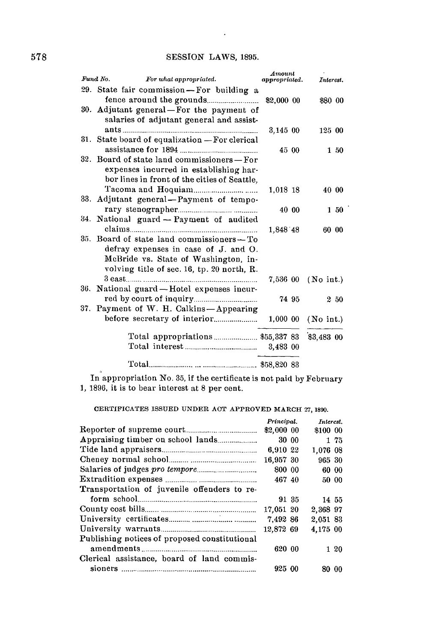## **SESSION** LAWS, **1895.**

 $\sim$ 

| Fund No.<br>For what appropriated.                  | Amount<br>appropriated. |       | Interest.          |         |
|-----------------------------------------------------|-------------------------|-------|--------------------|---------|
| 29. State fair commission-For building a            |                         |       |                    |         |
|                                                     | \$2,000 00              |       | \$80 00            |         |
| 30. Adjutant general—For the payment of             |                         |       |                    |         |
| salaries of adjutant general and assist-            |                         |       |                    |         |
|                                                     | 3,145,00                |       | 125 00             |         |
| 31. State board of equalization - For clerical      |                         |       |                    |         |
|                                                     |                         | 45 00 |                    | 1,50    |
| 32. Board of state land commissioners - For         |                         |       |                    |         |
| expenses incurred in establishing har-              |                         |       |                    |         |
| bor lines in front of the cities of Seattle.        |                         |       |                    |         |
|                                                     | 1,018 18                |       | 40 00              |         |
| 33. Adjutant general-Payment of tempo-              |                         |       |                    |         |
|                                                     | 40 00                   |       |                    | $1\,50$ |
| 34. National guard - Payment of audited             |                         |       |                    |         |
| $\label{eq:cl} \textit{clains} \textit{} \textit{}$ | 1,848 48                |       | 60 00              |         |
| 35. Board of state land commissioners - To          |                         |       |                    |         |
| defray expenses in case of J. and O.                |                         |       |                    |         |
| McBride vs. State of Washington, in-                |                         |       |                    |         |
| volving title of sec. 16, tp. 20 north, R.          |                         |       |                    |         |
|                                                     |                         |       | 7,536 00 (No int.) |         |
| 36. National guard-Hotel expenses incur-            |                         |       |                    |         |
|                                                     |                         | 74 95 |                    | 250     |
| 37. Payment of W. H. Calkins-Appearing              |                         |       |                    |         |
|                                                     |                         |       | 1,000 00 (No int.) |         |
| Total appropriations \$55,337 83                    |                         |       | \$3,483 00         |         |
|                                                     |                         |       |                    |         |
|                                                     |                         |       |                    |         |

In appropriation No. **35,** if the certificate is not paid **by** February **1, 1896,** it is to bear interest at **8** per cent.

**CERTIFICATES ISSUED UNDER ACT APPROVED MARCH 27, 1890.**

|                                               | Principal. |       | Interest. |       |
|-----------------------------------------------|------------|-------|-----------|-------|
|                                               | \$2,000 00 |       | \$100 00  |       |
|                                               |            | 30 00 |           | 1 75  |
|                                               | 6,910 22   |       | 1.076 08  |       |
|                                               | 16.957 30  |       | 965 30    |       |
|                                               | 800 00     |       |           | 60 00 |
|                                               | 467 40     |       |           | 50 00 |
| Transportation of juvenile offenders to re-   |            |       |           |       |
|                                               |            | 91 35 | 14 55     |       |
|                                               | 17,051 20  |       | 2.368 97  |       |
|                                               | 7.492 86   |       | 2,051 83  |       |
|                                               | 12.872 69  |       | 4,175 00  |       |
| Publishing notices of proposed constitutional |            |       |           |       |
|                                               | 620 00     |       |           | 120   |
| Clerical assistance, board of land commis-    |            |       |           |       |
|                                               | 925 00     |       | 80 00     |       |